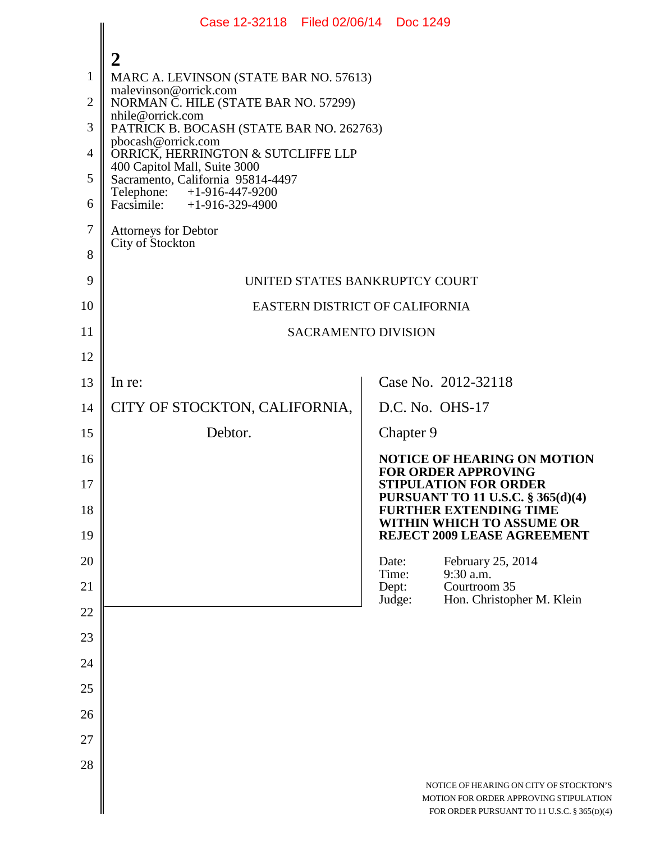|                | Case 12-32118 Filed 02/06/14 Doc 1249                             |                 |                                                                                                                                  |  |
|----------------|-------------------------------------------------------------------|-----------------|----------------------------------------------------------------------------------------------------------------------------------|--|
|                | 2                                                                 |                 |                                                                                                                                  |  |
| $\mathbf{1}$   | MARC A. LEVINSON (STATE BAR NO. 57613)                            |                 |                                                                                                                                  |  |
| $\overline{2}$ | malevinson@orrick.com<br>NORMAN C. HILE (STATE BAR NO. 57299)     |                 |                                                                                                                                  |  |
| 3              | nhile@orrick.com<br>PATRICK B. BOCASH (STATE BAR NO. 262763)      |                 |                                                                                                                                  |  |
| 4              | pbocash@orrick.com<br>ORRICK, HERRINGTON & SUTCLIFFE LLP          |                 |                                                                                                                                  |  |
| 5              | 400 Capitol Mall, Suite 3000<br>Sacramento, California 95814-4497 |                 |                                                                                                                                  |  |
| 6              | Telephone: +1-916-447-9200<br>Facsimile: $+1-916-329-4900$        |                 |                                                                                                                                  |  |
| 7              | <b>Attorneys for Debtor</b>                                       |                 |                                                                                                                                  |  |
| 8              | City of Stockton                                                  |                 |                                                                                                                                  |  |
| 9              | UNITED STATES BANKRUPTCY COURT                                    |                 |                                                                                                                                  |  |
| 10             | EASTERN DISTRICT OF CALIFORNIA                                    |                 |                                                                                                                                  |  |
| 11             | <b>SACRAMENTO DIVISION</b>                                        |                 |                                                                                                                                  |  |
| 12             |                                                                   |                 |                                                                                                                                  |  |
| 13             | In re:                                                            |                 | Case No. 2012-32118                                                                                                              |  |
| 14             | CITY OF STOCKTON, CALIFORNIA,                                     |                 | D.C. No. OHS-17                                                                                                                  |  |
| 15             | Debtor.                                                           |                 | Chapter 9                                                                                                                        |  |
| 16             |                                                                   |                 | <b>NOTICE OF HEARING ON MOTION</b><br><b>FOR ORDER APPROVING</b>                                                                 |  |
| 17             |                                                                   |                 | <b>STIPULATION FOR ORDER</b><br>PURSUANT TO 11 U.S.C. § 365(d)(4)                                                                |  |
| 18             |                                                                   |                 | <b>FURTHER EXTENDING TIME</b><br>WITHIN WHICH TO ASSUME OR                                                                       |  |
| 19             |                                                                   |                 | <b>REJECT 2009 LEASE AGREEMENT</b>                                                                                               |  |
| 20             |                                                                   | Date:<br>Time:  | February 25, 2014<br>9:30 a.m.                                                                                                   |  |
| 21             |                                                                   | Dept:<br>Judge: | Courtroom 35<br>Hon. Christopher M. Klein                                                                                        |  |
| 22             |                                                                   |                 |                                                                                                                                  |  |
| 23             |                                                                   |                 |                                                                                                                                  |  |
| 24             |                                                                   |                 |                                                                                                                                  |  |
| 25             |                                                                   |                 |                                                                                                                                  |  |
| 26             |                                                                   |                 |                                                                                                                                  |  |
| 27             |                                                                   |                 |                                                                                                                                  |  |
| 28             |                                                                   |                 | NOTICE OF HEARING ON CITY OF STOCKTON'S<br>MOTION FOR ORDER APPROVING STIPULATION<br>FOR ORDER PURSUANT TO 11 U.S.C. § 365(D)(4) |  |